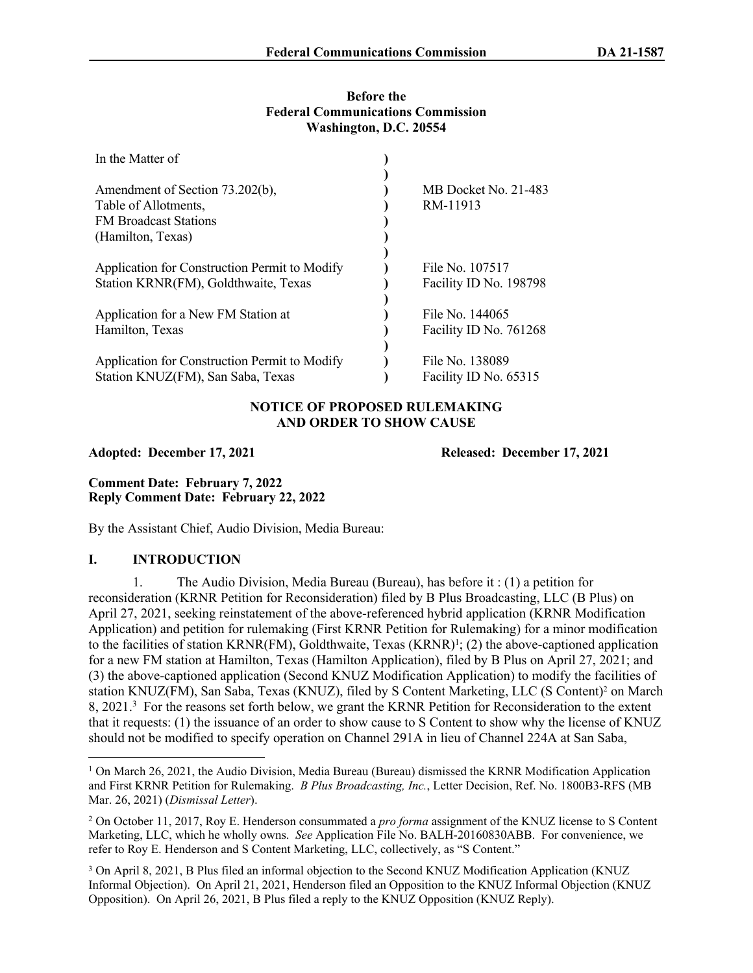#### **Before the Federal Communications Commission Washington, D.C. 20554**

| In the Matter of                                                                                             |                                           |
|--------------------------------------------------------------------------------------------------------------|-------------------------------------------|
| Amendment of Section 73.202(b),<br>Table of Allotments,<br><b>FM Broadcast Stations</b><br>(Hamilton, Texas) | MB Docket No. 21-483<br>RM-11913          |
| Application for Construction Permit to Modify<br>Station KRNR(FM), Goldthwaite, Texas                        | File No. 107517<br>Facility ID No. 198798 |
| Application for a New FM Station at<br>Hamilton, Texas                                                       | File No. 144065<br>Facility ID No. 761268 |
| Application for Construction Permit to Modify<br>Station KNUZ(FM), San Saba, Texas                           | File No. 138089<br>Facility ID No. 65315  |

# **NOTICE OF PROPOSED RULEMAKING AND ORDER TO SHOW CAUSE**

**Adopted: December 17, 2021 Released: December 17, 2021**

**Comment Date: February 7, 2022 Reply Comment Date: February 22, 2022**

By the Assistant Chief, Audio Division, Media Bureau:

## **I. INTRODUCTION**

1. The Audio Division, Media Bureau (Bureau), has before it : (1) a petition for reconsideration (KRNR Petition for Reconsideration) filed by B Plus Broadcasting, LLC (B Plus) on April 27, 2021, seeking reinstatement of the above-referenced hybrid application (KRNR Modification Application) and petition for rulemaking (First KRNR Petition for Rulemaking) for a minor modification to the facilities of station KRNR(FM), Goldthwaite, Texas (KRNR)<sup>1</sup>; (2) the above-captioned application for a new FM station at Hamilton, Texas (Hamilton Application), filed by B Plus on April 27, 2021; and (3) the above-captioned application (Second KNUZ Modification Application) to modify the facilities of station KNUZ(FM), San Saba, Texas (KNUZ), filed by S Content Marketing, LLC (S Content)<sup>2</sup> on March 8, 2021.<sup>3</sup> For the reasons set forth below, we grant the KRNR Petition for Reconsideration to the extent that it requests: (1) the issuance of an order to show cause to S Content to show why the license of KNUZ should not be modified to specify operation on Channel 291A in lieu of Channel 224A at San Saba,

<sup>&</sup>lt;sup>1</sup> On March 26, 2021, the Audio Division, Media Bureau (Bureau) dismissed the KRNR Modification Application and First KRNR Petition for Rulemaking. *B Plus Broadcasting, Inc.*, Letter Decision, Ref. No. 1800B3-RFS (MB Mar. 26, 2021) (*Dismissal Letter*).

<sup>2</sup> On October 11, 2017, Roy E. Henderson consummated a *pro forma* assignment of the KNUZ license to S Content Marketing, LLC, which he wholly owns. *See* Application File No. BALH-20160830ABB. For convenience, we refer to Roy E. Henderson and S Content Marketing, LLC, collectively, as "S Content."

<sup>3</sup> On April 8, 2021, B Plus filed an informal objection to the Second KNUZ Modification Application (KNUZ Informal Objection). On April 21, 2021, Henderson filed an Opposition to the KNUZ Informal Objection (KNUZ Opposition). On April 26, 2021, B Plus filed a reply to the KNUZ Opposition (KNUZ Reply).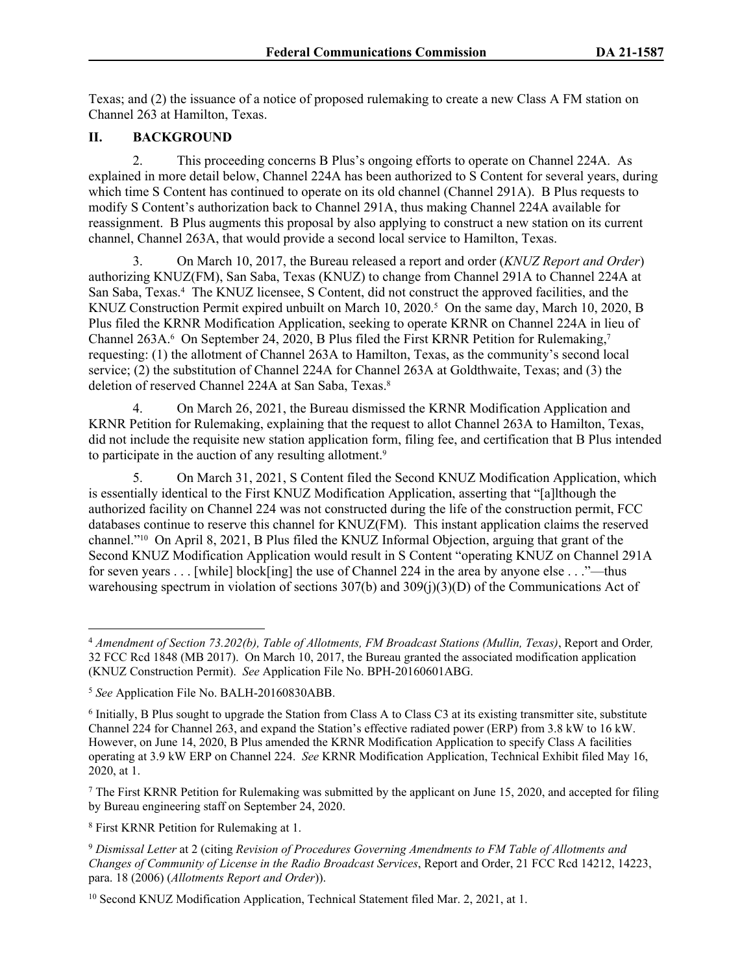Texas; and (2) the issuance of a notice of proposed rulemaking to create a new Class A FM station on Channel 263 at Hamilton, Texas.

#### **II. BACKGROUND**

2. This proceeding concerns B Plus's ongoing efforts to operate on Channel 224A. As explained in more detail below, Channel 224A has been authorized to S Content for several years, during which time S Content has continued to operate on its old channel (Channel 291A). B Plus requests to modify S Content's authorization back to Channel 291A, thus making Channel 224A available for reassignment. B Plus augments this proposal by also applying to construct a new station on its current channel, Channel 263A, that would provide a second local service to Hamilton, Texas.

3. On March 10, 2017, the Bureau released a report and order (*KNUZ Report and Order*) authorizing KNUZ(FM), San Saba, Texas (KNUZ) to change from Channel 291A to Channel 224A at San Saba, Texas.<sup>4</sup> The KNUZ licensee, S Content, did not construct the approved facilities, and the KNUZ Construction Permit expired unbuilt on March 10, 2020.<sup>5</sup> On the same day, March 10, 2020, B Plus filed the KRNR Modification Application, seeking to operate KRNR on Channel 224A in lieu of Channel 263A.<sup>6</sup> On September 24, 2020, B Plus filed the First KRNR Petition for Rulemaking,<sup>7</sup> requesting: (1) the allotment of Channel 263A to Hamilton, Texas, as the community's second local service; (2) the substitution of Channel 224A for Channel 263A at Goldthwaite, Texas; and (3) the deletion of reserved Channel 224A at San Saba, Texas.<sup>8</sup>

4. On March 26, 2021, the Bureau dismissed the KRNR Modification Application and KRNR Petition for Rulemaking, explaining that the request to allot Channel 263A to Hamilton, Texas, did not include the requisite new station application form, filing fee, and certification that B Plus intended to participate in the auction of any resulting allotment.<sup>9</sup>

5. On March 31, 2021, S Content filed the Second KNUZ Modification Application, which is essentially identical to the First KNUZ Modification Application, asserting that "[a]lthough the authorized facility on Channel 224 was not constructed during the life of the construction permit, FCC databases continue to reserve this channel for KNUZ(FM). This instant application claims the reserved channel."10 On April 8, 2021, B Plus filed the KNUZ Informal Objection, arguing that grant of the Second KNUZ Modification Application would result in S Content "operating KNUZ on Channel 291A for seven years . . . [while] block[ing] the use of Channel 224 in the area by anyone else . . ."—thus warehousing spectrum in violation of sections 307(b) and 309(j)(3)(D) of the Communications Act of

<sup>7</sup> The First KRNR Petition for Rulemaking was submitted by the applicant on June 15, 2020, and accepted for filing by Bureau engineering staff on September 24, 2020.

8 First KRNR Petition for Rulemaking at 1.

<sup>4</sup> *Amendment of Section 73.202(b), Table of Allotments, FM Broadcast Stations (Mullin, Texas)*, Report and Order*,*  32 FCC Rcd 1848 (MB 2017). On March 10, 2017, the Bureau granted the associated modification application (KNUZ Construction Permit). *See* Application File No. BPH-20160601ABG.

<sup>5</sup> *See* Application File No. BALH-20160830ABB.

<sup>6</sup> Initially, B Plus sought to upgrade the Station from Class A to Class C3 at its existing transmitter site, substitute Channel 224 for Channel 263, and expand the Station's effective radiated power (ERP) from 3.8 kW to 16 kW. However, on June 14, 2020, B Plus amended the KRNR Modification Application to specify Class A facilities operating at 3.9 kW ERP on Channel 224. *See* KRNR Modification Application, Technical Exhibit filed May 16, 2020, at 1.

<sup>9</sup> *Dismissal Letter* at 2 (citing *Revision of Procedures Governing Amendments to FM Table of Allotments and Changes of Community of License in the Radio Broadcast Services*, Report and Order, 21 FCC Rcd 14212, 14223, para. 18 (2006) (*Allotments Report and Order*)).

<sup>&</sup>lt;sup>10</sup> Second KNUZ Modification Application, Technical Statement filed Mar. 2, 2021, at 1.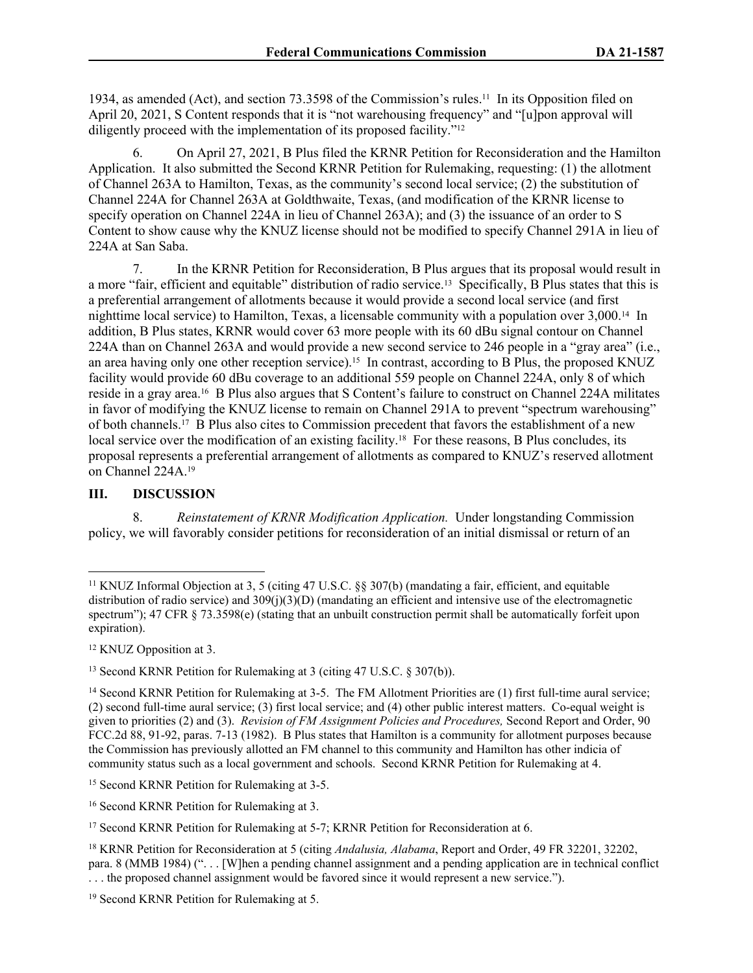1934, as amended (Act), and section 73.3598 of the Commission's rules.11 In its Opposition filed on April 20, 2021, S Content responds that it is "not warehousing frequency" and "[u]pon approval will diligently proceed with the implementation of its proposed facility."<sup>12</sup>

6. On April 27, 2021, B Plus filed the KRNR Petition for Reconsideration and the Hamilton Application. It also submitted the Second KRNR Petition for Rulemaking, requesting: (1) the allotment of Channel 263A to Hamilton, Texas, as the community's second local service; (2) the substitution of Channel 224A for Channel 263A at Goldthwaite, Texas, (and modification of the KRNR license to specify operation on Channel 224A in lieu of Channel 263A); and (3) the issuance of an order to S Content to show cause why the KNUZ license should not be modified to specify Channel 291A in lieu of 224A at San Saba.

7. In the KRNR Petition for Reconsideration, B Plus argues that its proposal would result in a more "fair, efficient and equitable" distribution of radio service.13 Specifically, B Plus states that this is a preferential arrangement of allotments because it would provide a second local service (and first nighttime local service) to Hamilton, Texas, a licensable community with a population over 3,000.14 In addition, B Plus states, KRNR would cover 63 more people with its 60 dBu signal contour on Channel 224A than on Channel 263A and would provide a new second service to 246 people in a "gray area" (i.e., an area having only one other reception service).<sup>15</sup> In contrast, according to B Plus, the proposed KNUZ facility would provide 60 dBu coverage to an additional 559 people on Channel 224A, only 8 of which reside in a gray area.16 B Plus also argues that S Content's failure to construct on Channel 224A militates in favor of modifying the KNUZ license to remain on Channel 291A to prevent "spectrum warehousing" of both channels.17 B Plus also cites to Commission precedent that favors the establishment of a new local service over the modification of an existing facility.<sup>18</sup> For these reasons, B Plus concludes, its proposal represents a preferential arrangement of allotments as compared to KNUZ's reserved allotment on Channel 224A.<sup>19</sup>

## **III. DISCUSSION**

8. *Reinstatement of KRNR Modification Application.* Under longstanding Commission policy, we will favorably consider petitions for reconsideration of an initial dismissal or return of an

<sup>12</sup> KNUZ Opposition at 3.

<sup>11</sup> KNUZ Informal Objection at 3, 5 (citing 47 U.S.C. §§ 307(b) (mandating a fair, efficient, and equitable distribution of radio service) and  $309(i)(3)(D)$  (mandating an efficient and intensive use of the electromagnetic spectrum"); 47 CFR  $\S$  73.3598(e) (stating that an unbuilt construction permit shall be automatically forfeit upon expiration).

<sup>&</sup>lt;sup>13</sup> Second KRNR Petition for Rulemaking at 3 (citing 47 U.S.C. § 307(b)).

<sup>&</sup>lt;sup>14</sup> Second KRNR Petition for Rulemaking at 3-5. The FM Allotment Priorities are (1) first full-time aural service; (2) second full-time aural service; (3) first local service; and (4) other public interest matters. Co-equal weight is given to priorities (2) and (3). *Revision of FM Assignment Policies and Procedures,* Second Report and Order, 90 FCC.2d 88, 91-92, paras. 7-13 (1982). B Plus states that Hamilton is a community for allotment purposes because the Commission has previously allotted an FM channel to this community and Hamilton has other indicia of community status such as a local government and schools. Second KRNR Petition for Rulemaking at 4.

<sup>15</sup> Second KRNR Petition for Rulemaking at 3-5.

<sup>16</sup> Second KRNR Petition for Rulemaking at 3.

<sup>&</sup>lt;sup>17</sup> Second KRNR Petition for Rulemaking at 5-7; KRNR Petition for Reconsideration at 6.

<sup>18</sup> KRNR Petition for Reconsideration at 5 (citing *Andalusia, Alabama*, Report and Order, 49 FR 32201, 32202, para. 8 (MMB 1984) (". . . [W]hen a pending channel assignment and a pending application are in technical conflict . . . the proposed channel assignment would be favored since it would represent a new service.").

<sup>19</sup> Second KRNR Petition for Rulemaking at 5.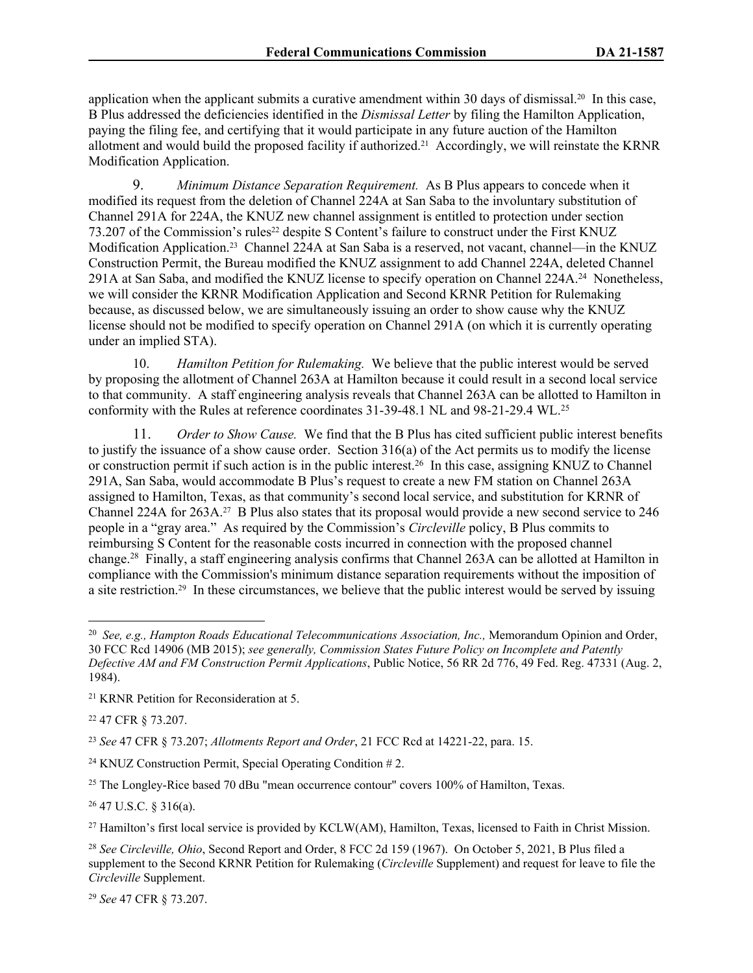application when the applicant submits a curative amendment within 30 days of dismissal.20 In this case, B Plus addressed the deficiencies identified in the *Dismissal Letter* by filing the Hamilton Application, paying the filing fee, and certifying that it would participate in any future auction of the Hamilton allotment and would build the proposed facility if authorized.21 Accordingly, we will reinstate the KRNR Modification Application.

9. *Minimum Distance Separation Requirement.* As B Plus appears to concede when it modified its request from the deletion of Channel 224A at San Saba to the involuntary substitution of Channel 291A for 224A, the KNUZ new channel assignment is entitled to protection under section 73.207 of the Commission's rules<sup>22</sup> despite S Content's failure to construct under the First KNUZ Modification Application.<sup>23</sup> Channel 224A at San Saba is a reserved, not vacant, channel—in the KNUZ Construction Permit, the Bureau modified the KNUZ assignment to add Channel 224A, deleted Channel 291A at San Saba, and modified the KNUZ license to specify operation on Channel 224A.<sup>24</sup> Nonetheless, we will consider the KRNR Modification Application and Second KRNR Petition for Rulemaking because, as discussed below, we are simultaneously issuing an order to show cause why the KNUZ license should not be modified to specify operation on Channel 291A (on which it is currently operating under an implied STA).

10. *Hamilton Petition for Rulemaking.* We believe that the public interest would be served by proposing the allotment of Channel 263A at Hamilton because it could result in a second local service to that community. A staff engineering analysis reveals that Channel 263A can be allotted to Hamilton in conformity with the Rules at reference coordinates 31-39-48.1 NL and 98-21-29.4 WL.<sup>25</sup>

11. *Order to Show Cause.* We find that the B Plus has cited sufficient public interest benefits to justify the issuance of a show cause order. Section 316(a) of the Act permits us to modify the license or construction permit if such action is in the public interest.<sup>26</sup> In this case, assigning KNUZ to Channel 291A, San Saba, would accommodate B Plus's request to create a new FM station on Channel 263A assigned to Hamilton, Texas, as that community's second local service, and substitution for KRNR of Channel 224A for 263A.27 B Plus also states that its proposal would provide a new second service to 246 people in a "gray area." As required by the Commission's *Circleville* policy, B Plus commits to reimbursing S Content for the reasonable costs incurred in connection with the proposed channel change.<sup>28</sup> Finally, a staff engineering analysis confirms that Channel 263A can be allotted at Hamilton in compliance with the Commission's minimum distance separation requirements without the imposition of a site restriction.29 In these circumstances, we believe that the public interest would be served by issuing

<sup>22</sup> 47 CFR § 73.207.

<sup>23</sup> *See* 47 CFR § 73.207; *Allotments Report and Order*, 21 FCC Rcd at 14221-22, para. 15.

<sup>25</sup> The Longley-Rice based 70 dBu "mean occurrence contour" covers 100% of Hamilton, Texas.

<sup>26</sup> 47 U.S.C. § 316(a).

<sup>27</sup> Hamilton's first local service is provided by KCLW(AM), Hamilton, Texas, licensed to Faith in Christ Mission.

<sup>29</sup> *See* 47 CFR § 73.207.

<sup>20</sup> *See, e.g., Hampton Roads Educational Telecommunications Association, Inc.,* Memorandum Opinion and Order, 30 FCC Rcd 14906 (MB 2015); *see generally, Commission States Future Policy on Incomplete and Patently Defective AM and FM Construction Permit Applications*, Public Notice, 56 RR 2d 776, 49 Fed. Reg. 47331 (Aug. 2, 1984).

<sup>21</sup> KRNR Petition for Reconsideration at 5.

<sup>24</sup> KNUZ Construction Permit, Special Operating Condition # 2.

<sup>28</sup> *See Circleville, Ohio*, Second Report and Order, 8 FCC 2d 159 (1967). On October 5, 2021, B Plus filed a supplement to the Second KRNR Petition for Rulemaking (*Circleville* Supplement) and request for leave to file the *Circleville* Supplement.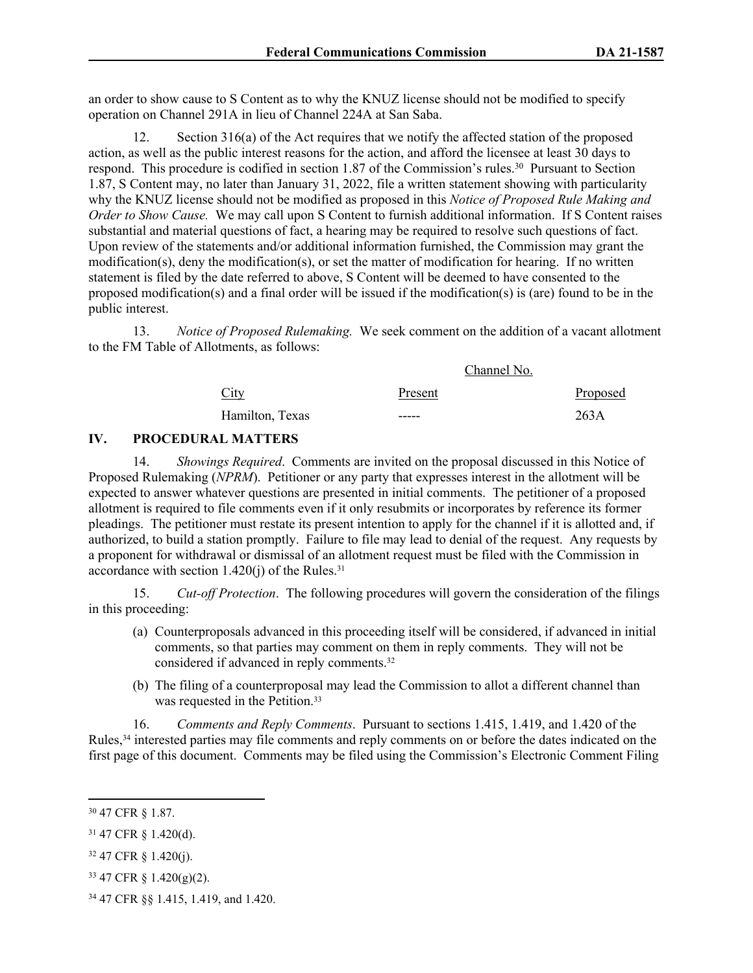an order to show cause to S Content as to why the KNUZ license should not be modified to specify operation on Channel 291A in lieu of Channel 224A at San Saba.

12. Section 316(a) of the Act requires that we notify the affected station of the proposed action, as well as the public interest reasons for the action, and afford the licensee at least 30 days to respond. This procedure is codified in section 1.87 of the Commission's rules.<sup>30</sup> Pursuant to Section 1.87, S Content may, no later than January 31, 2022, file a written statement showing with particularity why the KNUZ license should not be modified as proposed in this *Notice of Proposed Rule Making and Order to Show Cause.* We may call upon S Content to furnish additional information. If S Content raises substantial and material questions of fact, a hearing may be required to resolve such questions of fact. Upon review of the statements and/or additional information furnished, the Commission may grant the modification(s), deny the modification(s), or set the matter of modification for hearing. If no written statement is filed by the date referred to above, S Content will be deemed to have consented to the proposed modification(s) and a final order will be issued if the modification(s) is (are) found to be in the public interest.

13. *Notice of Proposed Rulemaking.* We seek comment on the addition of a vacant allotment to the FM Table of Allotments, as follows:

| City            | Channel No. |          |  |  |
|-----------------|-------------|----------|--|--|
|                 | Present     | Proposed |  |  |
| Hamilton, Texas | -----       | 263A     |  |  |

## **IV. PROCEDURAL MATTERS**

14. *Showings Required*. Comments are invited on the proposal discussed in this Notice of Proposed Rulemaking (*NPRM*). Petitioner or any party that expresses interest in the allotment will be expected to answer whatever questions are presented in initial comments. The petitioner of a proposed allotment is required to file comments even if it only resubmits or incorporates by reference its former pleadings. The petitioner must restate its present intention to apply for the channel if it is allotted and, if authorized, to build a station promptly. Failure to file may lead to denial of the request. Any requests by a proponent for withdrawal or dismissal of an allotment request must be filed with the Commission in accordance with section  $1.420(i)$  of the Rules.<sup>31</sup>

15. *Cut-off Protection*. The following procedures will govern the consideration of the filings in this proceeding:

- (a) Counterproposals advanced in this proceeding itself will be considered, if advanced in initial comments, so that parties may comment on them in reply comments. They will not be considered if advanced in reply comments.<sup>32</sup>
- (b) The filing of a counterproposal may lead the Commission to allot a different channel than was requested in the Petition.<sup>33</sup>

16. *Comments and Reply Comments*. Pursuant to sections 1.415, 1.419, and 1.420 of the Rules,34 interested parties may file comments and reply comments on or before the dates indicated on the first page of this document. Comments may be filed using the Commission's Electronic Comment Filing

- <sup>32</sup> 47 CFR § 1.420(j).
- <sup>33</sup> 47 CFR § 1.420(g)(2).
- 34 47 CFR §§ 1.415, 1.419, and 1.420.

<sup>30</sup> 47 CFR § 1.87.

<sup>31</sup> 47 CFR § 1.420(d).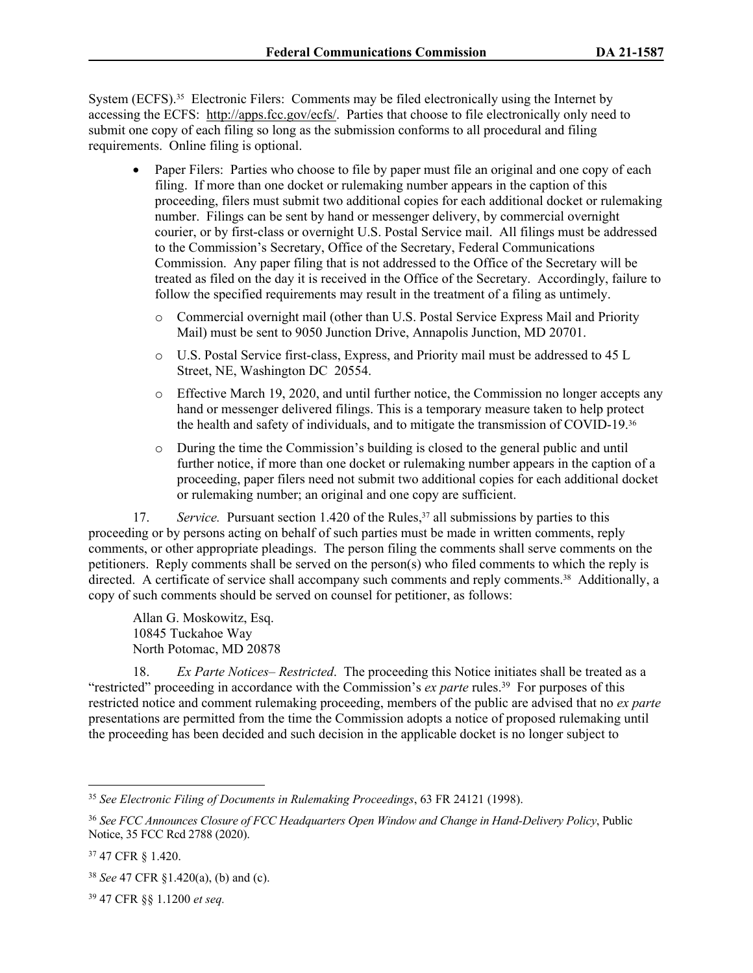System (ECFS).<sup>35</sup> Electronic Filers: Comments may be filed electronically using the Internet by accessing the ECFS: [http://apps.fcc.gov/ecfs/.](about:blank) Parties that choose to file electronically only need to submit one copy of each filing so long as the submission conforms to all procedural and filing requirements. Online filing is optional.

- Paper Filers: Parties who choose to file by paper must file an original and one copy of each filing. If more than one docket or rulemaking number appears in the caption of this proceeding, filers must submit two additional copies for each additional docket or rulemaking number. Filings can be sent by hand or messenger delivery, by commercial overnight courier, or by first-class or overnight U.S. Postal Service mail. All filings must be addressed to the Commission's Secretary, Office of the Secretary, Federal Communications Commission. Any paper filing that is not addressed to the Office of the Secretary will be treated as filed on the day it is received in the Office of the Secretary. Accordingly, failure to follow the specified requirements may result in the treatment of a filing as untimely.
	- o Commercial overnight mail (other than U.S. Postal Service Express Mail and Priority Mail) must be sent to 9050 Junction Drive, Annapolis Junction, MD 20701.
	- o U.S. Postal Service first-class, Express, and Priority mail must be addressed to 45 L Street, NE, Washington DC 20554.
	- o Effective March 19, 2020, and until further notice, the Commission no longer accepts any hand or messenger delivered filings. This is a temporary measure taken to help protect the health and safety of individuals, and to mitigate the transmission of COVID-19.<sup>36</sup>
	- o During the time the Commission's building is closed to the general public and until further notice, if more than one docket or rulemaking number appears in the caption of a proceeding, paper filers need not submit two additional copies for each additional docket or rulemaking number; an original and one copy are sufficient.

17. *Service.* Pursuant section 1.420 of the Rules,<sup>37</sup> all submissions by parties to this proceeding or by persons acting on behalf of such parties must be made in written comments, reply comments, or other appropriate pleadings. The person filing the comments shall serve comments on the petitioners. Reply comments shall be served on the person(s) who filed comments to which the reply is directed. A certificate of service shall accompany such comments and reply comments.<sup>38</sup> Additionally, a copy of such comments should be served on counsel for petitioner, as follows:

Allan G. Moskowitz, Esq. 10845 Tuckahoe Way North Potomac, MD 20878

18. *Ex Parte Notices– Restricted*. The proceeding this Notice initiates shall be treated as a "restricted" proceeding in accordance with the Commission's *ex parte* rules.<sup>39</sup> For purposes of this restricted notice and comment rulemaking proceeding, members of the public are advised that no *ex parte* presentations are permitted from the time the Commission adopts a notice of proposed rulemaking until the proceeding has been decided and such decision in the applicable docket is no longer subject to

<sup>35</sup> *See Electronic Filing of Documents in Rulemaking Proceedings*, 63 FR 24121 (1998).

<sup>36</sup> *See FCC Announces Closure of FCC Headquarters Open Window and Change in Hand-Delivery Policy*, Public Notice, 35 FCC Rcd 2788 (2020).

<sup>37</sup> 47 CFR § 1.420.

<sup>38</sup> *See* 47 CFR §1.420(a), (b) and (c).

<sup>39</sup> 47 CFR §§ 1.1200 *et seq.*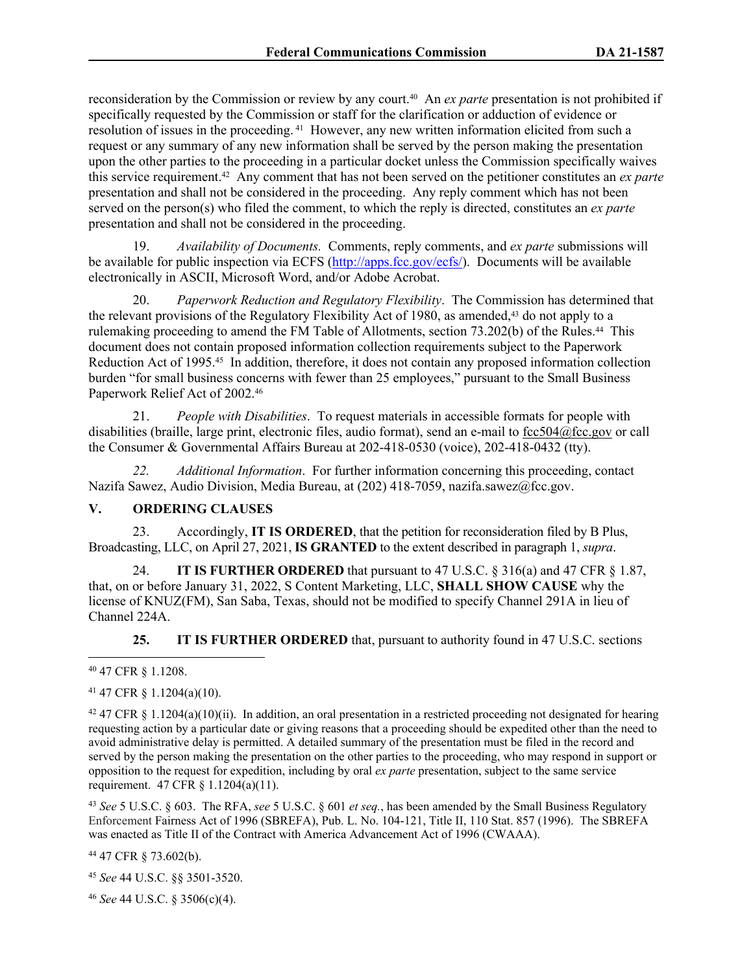reconsideration by the Commission or review by any court.40 An *ex parte* presentation is not prohibited if specifically requested by the Commission or staff for the clarification or adduction of evidence or resolution of issues in the proceeding. 41 However, any new written information elicited from such a request or any summary of any new information shall be served by the person making the presentation upon the other parties to the proceeding in a particular docket unless the Commission specifically waives this service requirement.42 Any comment that has not been served on the petitioner constitutes an *ex parte* presentation and shall not be considered in the proceeding. Any reply comment which has not been served on the person(s) who filed the comment, to which the reply is directed, constitutes an *ex parte* presentation and shall not be considered in the proceeding.

19. *Availability of Documents.* Comments, reply comments, and *ex parte* submissions will be available for public inspection via ECFS [\(http://apps.fcc.gov/ecfs/\)](http://apps.fcc.gov/ecfs/). Documents will be available electronically in ASCII, Microsoft Word, and/or Adobe Acrobat.

20. *Paperwork Reduction and Regulatory Flexibility*. The Commission has determined that the relevant provisions of the Regulatory Flexibility Act of 1980, as amended,43 do not apply to a rulemaking proceeding to amend the FM Table of Allotments, section 73.202(b) of the Rules.<sup>44</sup> This document does not contain proposed information collection requirements subject to the Paperwork Reduction Act of 1995.45 In addition, therefore, it does not contain any proposed information collection burden "for small business concerns with fewer than 25 employees," pursuant to the Small Business Paperwork Relief Act of 2002.<sup>46</sup>

21. *People with Disabilities*. To request materials in accessible formats for people with disabilities (braille, large print, electronic files, audio format), send an e-mail to [fcc504@fcc.gov](about:blank) or call the Consumer & Governmental Affairs Bureau at 202-418-0530 (voice), 202-418-0432 (tty).

*22. Additional Information*. For further information concerning this proceeding, contact Nazifa Sawez, Audio Division, Media Bureau, at (202) 418-7059, nazifa.sawez@fcc.gov.

## **V. ORDERING CLAUSES**

23. Accordingly, **IT IS ORDERED**, that the petition for reconsideration filed by B Plus, Broadcasting, LLC, on April 27, 2021, **IS GRANTED** to the extent described in paragraph 1, *supra*.

24. **IT IS FURTHER ORDERED** that pursuant to 47 U.S.C. § 316(a) and 47 CFR § 1.87, that, on or before January 31, 2022, S Content Marketing, LLC, **SHALL SHOW CAUSE** why the license of KNUZ(FM), San Saba, Texas, should not be modified to specify Channel 291A in lieu of Channel 224A.

**25. IT IS FURTHER ORDERED** that, pursuant to authority found in 47 U.S.C. sections

#### <sup>40</sup> 47 CFR § 1.1208.

## <sup>41</sup> 47 CFR § 1.1204(a)(10).

 $42$  47 CFR § 1.1204(a)(10)(ii). In addition, an oral presentation in a restricted proceeding not designated for hearing requesting action by a particular date or giving reasons that a proceeding should be expedited other than the need to avoid administrative delay is permitted. A detailed summary of the presentation must be filed in the record and served by the person making the presentation on the other parties to the proceeding, who may respond in support or opposition to the request for expedition, including by oral *ex parte* presentation, subject to the same service requirement. 47 CFR § 1.1204(a)(11).

<sup>43</sup> *See* 5 U.S.C. § 603. The RFA, *see* 5 U.S.C. § 601 *et seq.*, has been amended by the Small Business Regulatory Enforcement Fairness Act of 1996 (SBREFA), Pub. L. No. 104-121, Title II, 110 Stat. 857 (1996). The SBREFA was enacted as Title II of the Contract with America Advancement Act of 1996 (CWAAA).

<sup>44</sup> 47 CFR § 73.602(b).

<sup>45</sup> *See* 44 U.S.C. §§ 3501-3520.

<sup>46</sup> *See* 44 U.S.C. § 3506(c)(4).